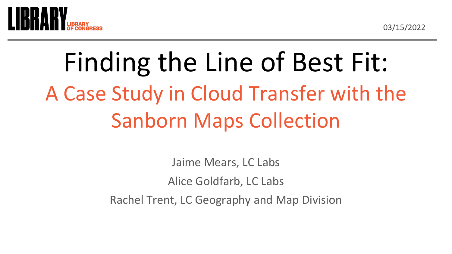03/15/2022



## Finding the Line of Best Fit: A Case Study in Cloud Transfer with the Sanborn Maps Collection

Jaime Mears, LC Labs Alice Goldfarb, LC Labs Rachel Trent, LC Geography and Map Division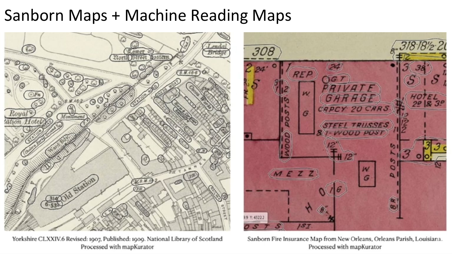### Sanborn Maps + Machine Reading Maps



Yorkshire CLXXIV.6 Revised: 1907, Published: 1909. National Library of Scotland Processed with mapKurator

Sanborn Fire Insurance Map from New Orleans, Orleans Parish, Louisiana. Processed with mapKurator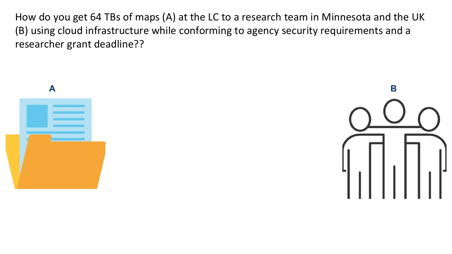How do you get 64 TBs of maps (A) at the LC to a research team in Minnesota and the UK (B) using cloud infrastructure while conforming to agency security requirements and a researcher grant deadline??

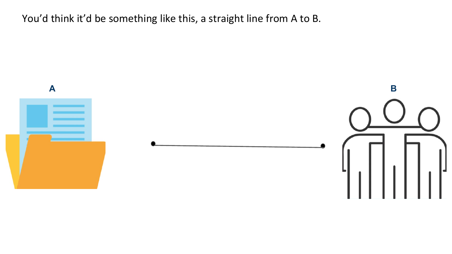You'd think it'd be something like this, a straight line from A to B.

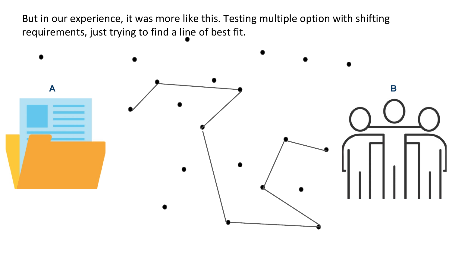But in our experience, it was more like this. Testing multiple option with shifting requirements, just trying to find a line of best fit.

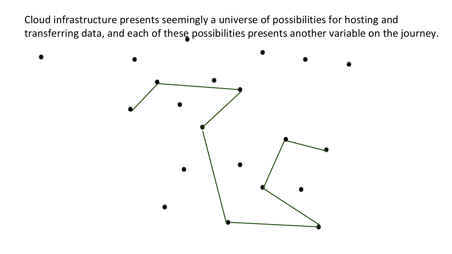Cloud infrastructure presents seemingly a universe of possibilities for hosting and transferring data, and each of these possibilities presents another variable on the journey.

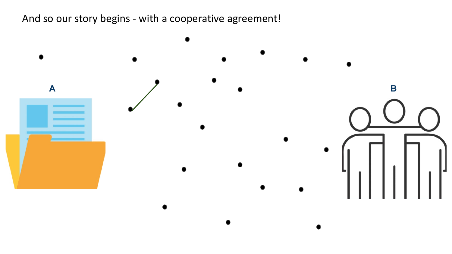And so our story begins - with a cooperative agreement!

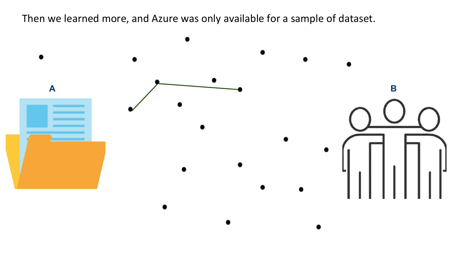Then we learned more, and Azure was only available for a sample of dataset.

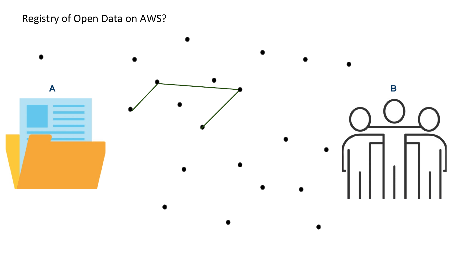#### Registry of Open Data on AWS?

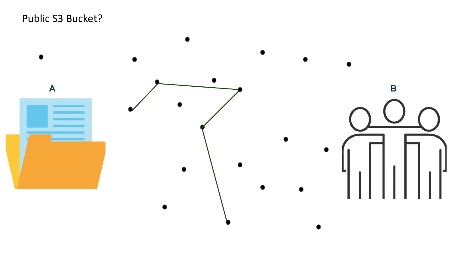#### Public S3 Bucket?

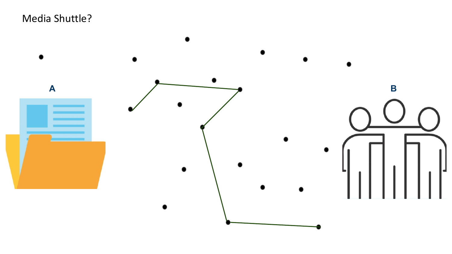Media Shuttle?

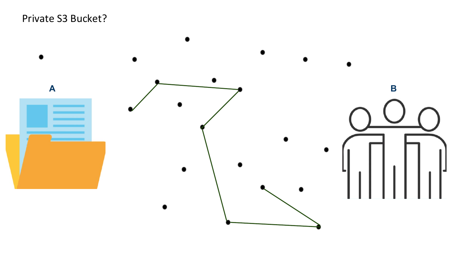#### Private S3 Bucket?

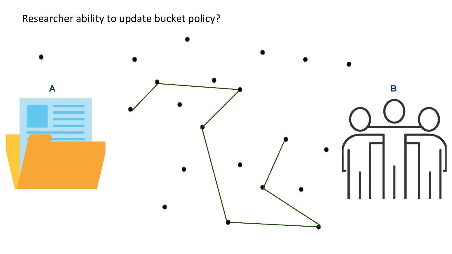#### Researcher ability to update bucket policy?

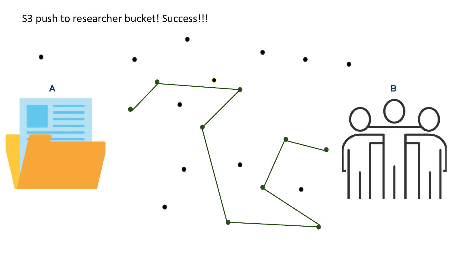#### S3 push to researcher bucket! Success!!!

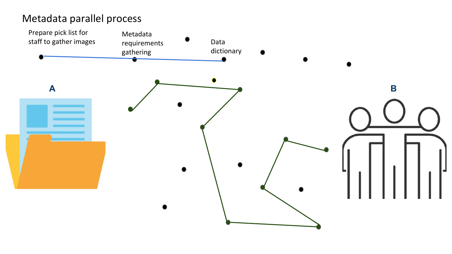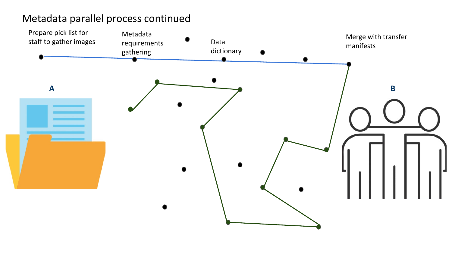

#### Metadata parallel process continued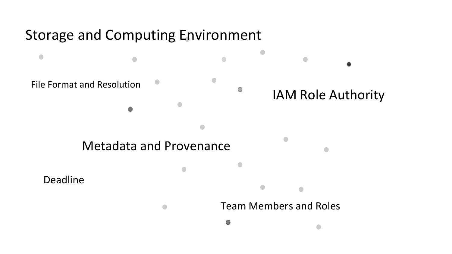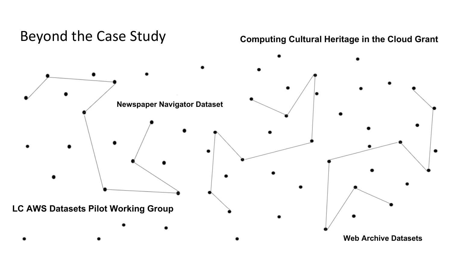